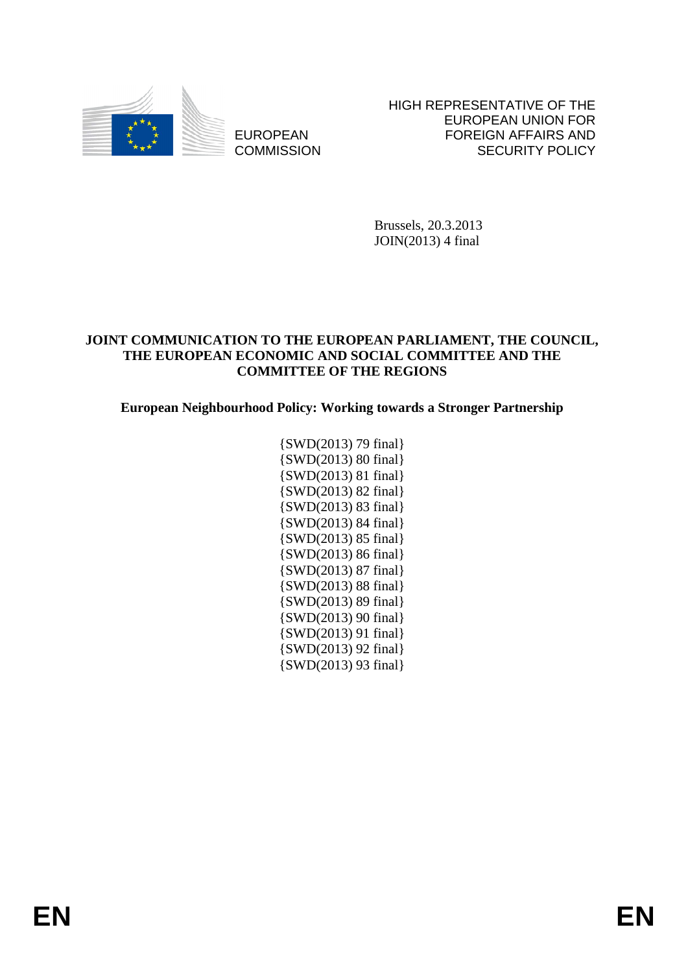

EUROPEAN **COMMISSION**  HIGH REPRESENTATIVE OF THE EUROPEAN UNION FOR FOREIGN AFFAIRS AND SECURITY POLICY

Brussels, 20.3.2013 JOIN(2013) 4 final

### **JOINT COMMUNICATION TO THE EUROPEAN PARLIAMENT, THE COUNCIL, THE EUROPEAN ECONOMIC AND SOCIAL COMMITTEE AND THE COMMITTEE OF THE REGIONS**

## **European Neighbourhood Policy: Working towards a Stronger Partnership**

{SWD(2013) 79 final} {SWD(2013) 80 final} {SWD(2013) 81 final} {SWD(2013) 82 final} {SWD(2013) 83 final} {SWD(2013) 84 final} {SWD(2013) 85 final} {SWD(2013) 86 final} {SWD(2013) 87 final} {SWD(2013) 88 final} {SWD(2013) 89 final} {SWD(2013) 90 final} {SWD(2013) 91 final} {SWD(2013) 92 final} {SWD(2013) 93 final}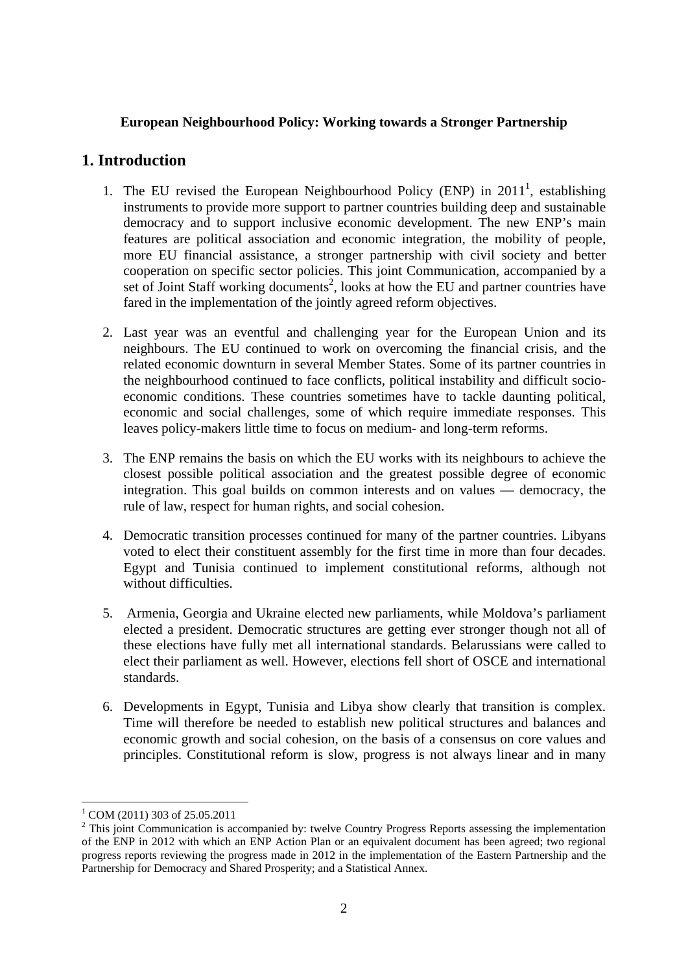### **European Neighbourhood Policy: Working towards a Stronger Partnership**

## **1. Introduction**

- 1. The EU revised the European Neighbourhood Policy (ENP) in  $2011<sup>1</sup>$ , establishing instruments to provide more support to partner countries building deep and sustainable democracy and to support inclusive economic development. The new ENP's main features are political association and economic integration, the mobility of people, more EU financial assistance, a stronger partnership with civil society and better cooperation on specific sector policies. This joint Communication, accompanied by a set of Joint Staff working documents<sup>2</sup>, looks at how the EU and partner countries have fared in the implementation of the jointly agreed reform objectives.
- 2. Last year was an eventful and challenging year for the European Union and its neighbours. The EU continued to work on overcoming the financial crisis, and the related economic downturn in several Member States. Some of its partner countries in the neighbourhood continued to face conflicts, political instability and difficult socioeconomic conditions. These countries sometimes have to tackle daunting political, economic and social challenges, some of which require immediate responses. This leaves policy-makers little time to focus on medium- and long-term reforms.
- 3. The ENP remains the basis on which the EU works with its neighbours to achieve the closest possible political association and the greatest possible degree of economic integration. This goal builds on common interests and on values — democracy, the rule of law, respect for human rights, and social cohesion.
- 4. Democratic transition processes continued for many of the partner countries. Libyans voted to elect their constituent assembly for the first time in more than four decades. Egypt and Tunisia continued to implement constitutional reforms, although not without difficulties.
- 5. Armenia, Georgia and Ukraine elected new parliaments, while Moldova's parliament elected a president. Democratic structures are getting ever stronger though not all of these elections have fully met all international standards. Belarussians were called to elect their parliament as well. However, elections fell short of OSCE and international standards.
- 6. Developments in Egypt, Tunisia and Libya show clearly that transition is complex. Time will therefore be needed to establish new political structures and balances and economic growth and social cohesion, on the basis of a consensus on core values and principles. Constitutional reform is slow, progress is not always linear and in many

<sup>1</sup> COM (2011) 303 of 25.05.2011

 $2$  This joint Communication is accompanied by: twelve Country Progress Reports assessing the implementation of the ENP in 2012 with which an ENP Action Plan or an equivalent document has been agreed; two regional progress reports reviewing the progress made in 2012 in the implementation of the Eastern Partnership and the Partnership for Democracy and Shared Prosperity; and a Statistical Annex.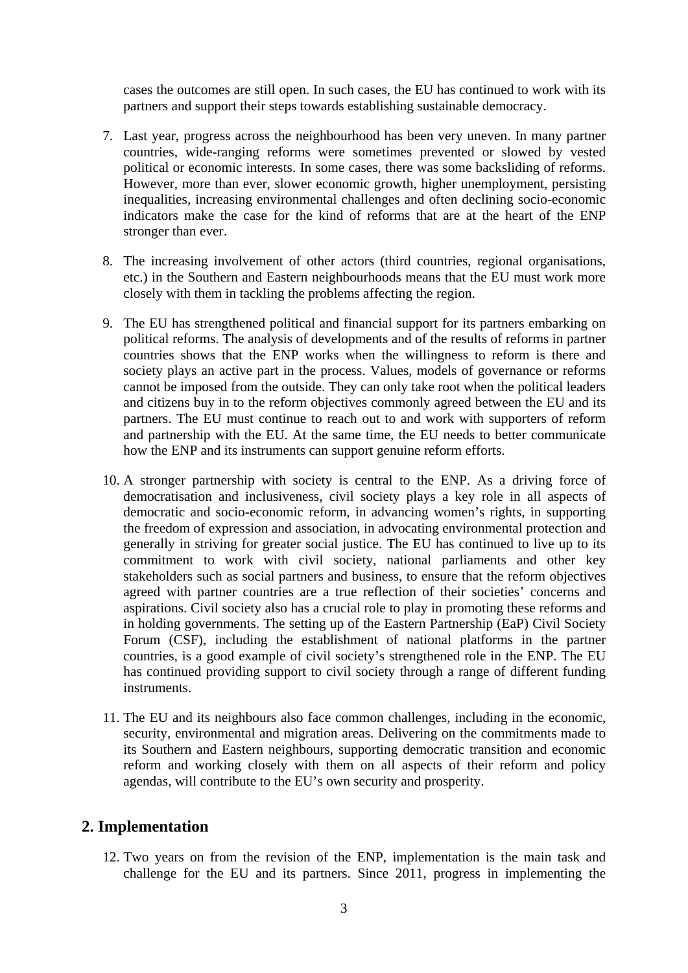cases the outcomes are still open. In such cases, the EU has continued to work with its partners and support their steps towards establishing sustainable democracy.

- 7. Last year, progress across the neighbourhood has been very uneven. In many partner countries, wide-ranging reforms were sometimes prevented or slowed by vested political or economic interests. In some cases, there was some backsliding of reforms. However, more than ever, slower economic growth, higher unemployment, persisting inequalities, increasing environmental challenges and often declining socio-economic indicators make the case for the kind of reforms that are at the heart of the ENP stronger than ever.
- 8. The increasing involvement of other actors (third countries, regional organisations, etc.) in the Southern and Eastern neighbourhoods means that the EU must work more closely with them in tackling the problems affecting the region.
- 9. The EU has strengthened political and financial support for its partners embarking on political reforms. The analysis of developments and of the results of reforms in partner countries shows that the ENP works when the willingness to reform is there and society plays an active part in the process. Values, models of governance or reforms cannot be imposed from the outside. They can only take root when the political leaders and citizens buy in to the reform objectives commonly agreed between the EU and its partners. The EU must continue to reach out to and work with supporters of reform and partnership with the EU. At the same time, the EU needs to better communicate how the ENP and its instruments can support genuine reform efforts.
- 10. A stronger partnership with society is central to the ENP. As a driving force of democratisation and inclusiveness, civil society plays a key role in all aspects of democratic and socio-economic reform, in advancing women's rights, in supporting the freedom of expression and association, in advocating environmental protection and generally in striving for greater social justice. The EU has continued to live up to its commitment to work with civil society, national parliaments and other key stakeholders such as social partners and business, to ensure that the reform objectives agreed with partner countries are a true reflection of their societies' concerns and aspirations. Civil society also has a crucial role to play in promoting these reforms and in holding governments. The setting up of the Eastern Partnership (EaP) Civil Society Forum (CSF), including the establishment of national platforms in the partner countries, is a good example of civil society's strengthened role in the ENP. The EU has continued providing support to civil society through a range of different funding instruments.
- 11. The EU and its neighbours also face common challenges, including in the economic, security, environmental and migration areas. Delivering on the commitments made to its Southern and Eastern neighbours, supporting democratic transition and economic reform and working closely with them on all aspects of their reform and policy agendas, will contribute to the EU's own security and prosperity.

### **2. Implementation**

12. Two years on from the revision of the ENP, implementation is the main task and challenge for the EU and its partners. Since 2011, progress in implementing the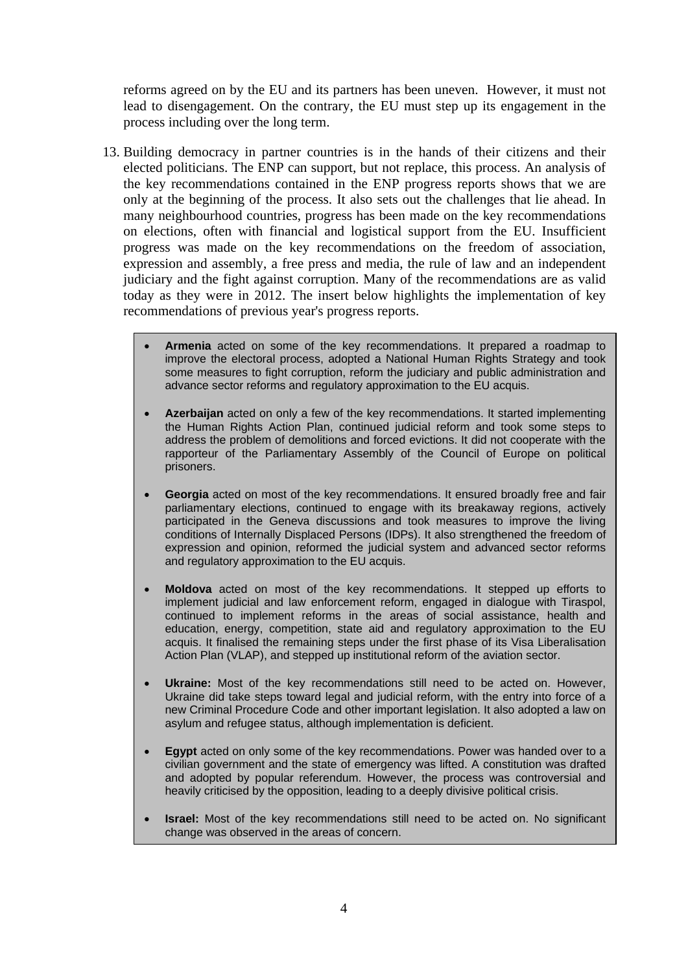reforms agreed on by the EU and its partners has been uneven. However, it must not lead to disengagement. On the contrary, the EU must step up its engagement in the process including over the long term.

- 13. Building democracy in partner countries is in the hands of their citizens and their elected politicians. The ENP can support, but not replace, this process. An analysis of the key recommendations contained in the ENP progress reports shows that we are only at the beginning of the process. It also sets out the challenges that lie ahead. In many neighbourhood countries, progress has been made on the key recommendations on elections, often with financial and logistical support from the EU. Insufficient progress was made on the key recommendations on the freedom of association, expression and assembly, a free press and media, the rule of law and an independent judiciary and the fight against corruption. Many of the recommendations are as valid today as they were in 2012. The insert below highlights the implementation of key recommendations of previous year's progress reports.
	- **Armenia** acted on some of the key recommendations. It prepared a roadmap to improve the electoral process, adopted a National Human Rights Strategy and took some measures to fight corruption, reform the judiciary and public administration and advance sector reforms and regulatory approximation to the EU acquis.
	- **Azerbaijan** acted on only a few of the key recommendations. It started implementing the Human Rights Action Plan, continued judicial reform and took some steps to address the problem of demolitions and forced evictions. It did not cooperate with the rapporteur of the Parliamentary Assembly of the Council of Europe on political prisoners.
	- **Georgia** acted on most of the key recommendations. It ensured broadly free and fair parliamentary elections, continued to engage with its breakaway regions, actively participated in the Geneva discussions and took measures to improve the living conditions of Internally Displaced Persons (IDPs). It also strengthened the freedom of expression and opinion, reformed the judicial system and advanced sector reforms and regulatory approximation to the EU acquis.
	- **Moldova** acted on most of the key recommendations. It stepped up efforts to implement judicial and law enforcement reform, engaged in dialogue with Tiraspol, continued to implement reforms in the areas of social assistance, health and education, energy, competition, state aid and regulatory approximation to the EU acquis. It finalised the remaining steps under the first phase of its Visa Liberalisation Action Plan (VLAP), and stepped up institutional reform of the aviation sector.
	- **Ukraine:** Most of the key recommendations still need to be acted on. However, Ukraine did take steps toward legal and judicial reform, with the entry into force of a new Criminal Procedure Code and other important legislation. It also adopted a law on asylum and refugee status, although implementation is deficient.
	- **Egypt** acted on only some of the key recommendations. Power was handed over to a civilian government and the state of emergency was lifted. A constitution was drafted and adopted by popular referendum. However, the process was controversial and heavily criticised by the opposition, leading to a deeply divisive political crisis.
	- **Israel:** Most of the key recommendations still need to be acted on. No significant change was observed in the areas of concern.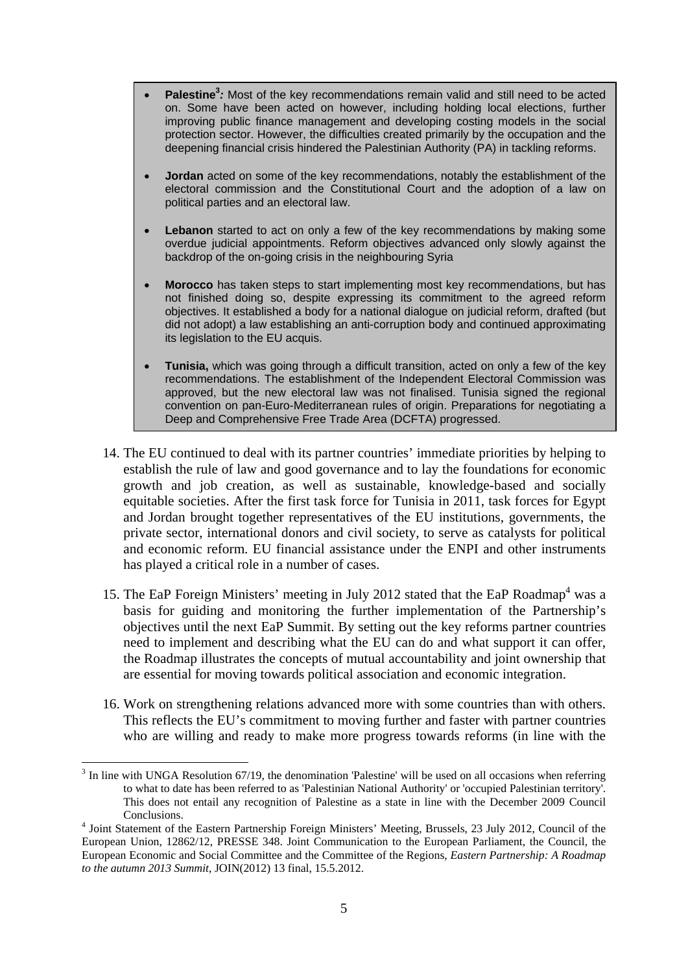- **Palestine**<sup>3</sup>: Most of the key recommendations remain valid and still need to be acted on. Some have been acted on however, including holding local elections, further improving public finance management and developing costing models in the social protection sector. However, the difficulties created primarily by the occupation and the deepening financial crisis hindered the Palestinian Authority (PA) in tackling reforms.
- **Jordan** acted on some of the key recommendations, notably the establishment of the electoral commission and the Constitutional Court and the adoption of a law on political parties and an electoral law.
- **Lebanon** started to act on only a few of the key recommendations by making some overdue judicial appointments. Reform objectives advanced only slowly against the backdrop of the on-going crisis in the neighbouring Syria
- **Morocco** has taken steps to start implementing most key recommendations, but has not finished doing so, despite expressing its commitment to the agreed reform objectives. It established a body for a national dialogue on judicial reform, drafted (but did not adopt) a law establishing an anti-corruption body and continued approximating its legislation to the EU acquis.
- **Tunisia,** which was going through a difficult transition, acted on only a few of the key recommendations. The establishment of the Independent Electoral Commission was approved, but the new electoral law was not finalised. Tunisia signed the regional convention on pan-Euro-Mediterranean rules of origin. Preparations for negotiating a Deep and Comprehensive Free Trade Area (DCFTA) progressed.
- 14. The EU continued to deal with its partner countries' immediate priorities by helping to establish the rule of law and good governance and to lay the foundations for economic growth and job creation, as well as sustainable, knowledge-based and socially equitable societies. After the first task force for Tunisia in 2011, task forces for Egypt and Jordan brought together representatives of the EU institutions, governments, the private sector, international donors and civil society, to serve as catalysts for political and economic reform. EU financial assistance under the ENPI and other instruments has played a critical role in a number of cases.
- 15. The EaP Foreign Ministers' meeting in July 2012 stated that the EaP Roadmap<sup>4</sup> was a basis for guiding and monitoring the further implementation of the Partnership's objectives until the next EaP Summit. By setting out the key reforms partner countries need to implement and describing what the EU can do and what support it can offer, the Roadmap illustrates the concepts of mutual accountability and joint ownership that are essential for moving towards political association and economic integration.
- 16. Work on strengthening relations advanced more with some countries than with others. This reflects the EU's commitment to moving further and faster with partner countries who are willing and ready to make more progress towards reforms (in line with the

 $3$  In line with UNGA Resolution 67/19, the denomination 'Palestine' will be used on all occasions when referring to what to date has been referred to as 'Palestinian National Authority' or 'occupied Palestinian territory'. This does not entail any recognition of Palestine as a state in line with the December 2009 Council Conclusions. 4 Joint Statement of the Eastern Partnership Foreign Ministers' Meeting, Brussels, 23 July 2012, Council of the

European Union, 12862/12, PRESSE 348. Joint Communication to the European Parliament, the Council, the European Economic and Social Committee and the Committee of the Regions, *Eastern Partnership: A Roadmap to the autumn 2013 Summit*, JOIN(2012) 13 final, 15.5.2012.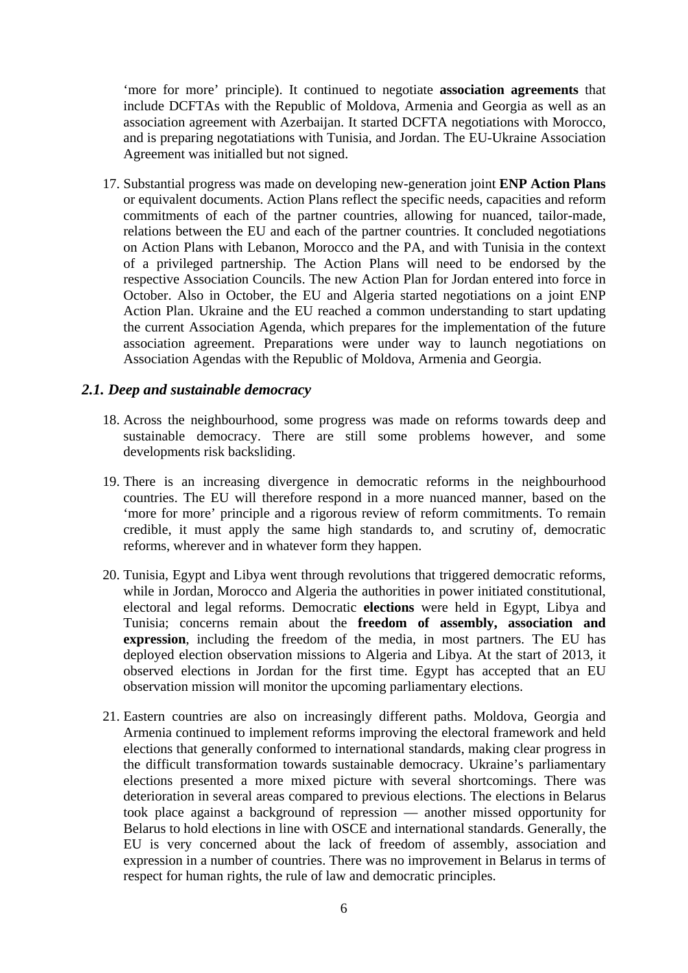'more for more' principle). It continued to negotiate **association agreements** that include DCFTAs with the Republic of Moldova, Armenia and Georgia as well as an association agreement with Azerbaijan. It started DCFTA negotiations with Morocco, and is preparing negotatiations with Tunisia, and Jordan. The EU-Ukraine Association Agreement was initialled but not signed.

17. Substantial progress was made on developing new-generation joint **ENP Action Plans** or equivalent documents. Action Plans reflect the specific needs, capacities and reform commitments of each of the partner countries, allowing for nuanced, tailor-made, relations between the EU and each of the partner countries. It concluded negotiations on Action Plans with Lebanon, Morocco and the PA, and with Tunisia in the context of a privileged partnership. The Action Plans will need to be endorsed by the respective Association Councils. The new Action Plan for Jordan entered into force in October. Also in October, the EU and Algeria started negotiations on a joint ENP Action Plan. Ukraine and the EU reached a common understanding to start updating the current Association Agenda, which prepares for the implementation of the future association agreement. Preparations were under way to launch negotiations on Association Agendas with the Republic of Moldova, Armenia and Georgia.

### *2.1. Deep and sustainable democracy*

- 18. Across the neighbourhood, some progress was made on reforms towards deep and sustainable democracy. There are still some problems however, and some developments risk backsliding.
- 19. There is an increasing divergence in democratic reforms in the neighbourhood countries. The EU will therefore respond in a more nuanced manner, based on the 'more for more' principle and a rigorous review of reform commitments. To remain credible, it must apply the same high standards to, and scrutiny of, democratic reforms, wherever and in whatever form they happen.
- 20. Tunisia, Egypt and Libya went through revolutions that triggered democratic reforms, while in Jordan, Morocco and Algeria the authorities in power initiated constitutional, electoral and legal reforms. Democratic **elections** were held in Egypt, Libya and Tunisia; concerns remain about the **freedom of assembly, association and expression**, including the freedom of the media, in most partners. The EU has deployed election observation missions to Algeria and Libya. At the start of 2013, it observed elections in Jordan for the first time. Egypt has accepted that an EU observation mission will monitor the upcoming parliamentary elections.
- 21. Eastern countries are also on increasingly different paths. Moldova, Georgia and Armenia continued to implement reforms improving the electoral framework and held elections that generally conformed to international standards, making clear progress in the difficult transformation towards sustainable democracy. Ukraine's parliamentary elections presented a more mixed picture with several shortcomings. There was deterioration in several areas compared to previous elections. The elections in Belarus took place against a background of repression — another missed opportunity for Belarus to hold elections in line with OSCE and international standards. Generally, the EU is very concerned about the lack of freedom of assembly, association and expression in a number of countries. There was no improvement in Belarus in terms of respect for human rights, the rule of law and democratic principles.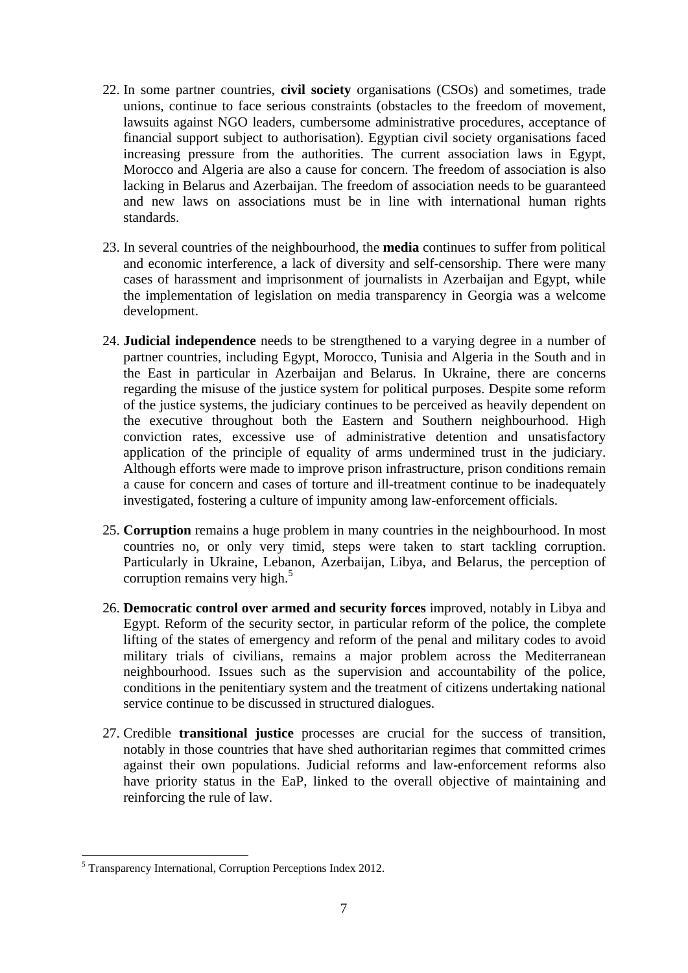- 22. In some partner countries, **civil society** organisations (CSOs) and sometimes, trade unions, continue to face serious constraints (obstacles to the freedom of movement, lawsuits against NGO leaders, cumbersome administrative procedures, acceptance of financial support subject to authorisation). Egyptian civil society organisations faced increasing pressure from the authorities. The current association laws in Egypt, Morocco and Algeria are also a cause for concern. The freedom of association is also lacking in Belarus and Azerbaijan. The freedom of association needs to be guaranteed and new laws on associations must be in line with international human rights standards.
- 23. In several countries of the neighbourhood, the **media** continues to suffer from political and economic interference, a lack of diversity and self-censorship. There were many cases of harassment and imprisonment of journalists in Azerbaijan and Egypt, while the implementation of legislation on media transparency in Georgia was a welcome development.
- 24. **Judicial independence** needs to be strengthened to a varying degree in a number of partner countries, including Egypt, Morocco, Tunisia and Algeria in the South and in the East in particular in Azerbaijan and Belarus. In Ukraine, there are concerns regarding the misuse of the justice system for political purposes. Despite some reform of the justice systems, the judiciary continues to be perceived as heavily dependent on the executive throughout both the Eastern and Southern neighbourhood. High conviction rates, excessive use of administrative detention and unsatisfactory application of the principle of equality of arms undermined trust in the judiciary. Although efforts were made to improve prison infrastructure, prison conditions remain a cause for concern and cases of torture and ill-treatment continue to be inadequately investigated, fostering a culture of impunity among law-enforcement officials.
- 25. **Corruption** remains a huge problem in many countries in the neighbourhood. In most countries no, or only very timid, steps were taken to start tackling corruption. Particularly in Ukraine, Lebanon, Azerbaijan, Libya, and Belarus, the perception of corruption remains very high. $5$
- 26. **Democratic control over armed and security forces** improved, notably in Libya and Egypt. Reform of the security sector, in particular reform of the police, the complete lifting of the states of emergency and reform of the penal and military codes to avoid military trials of civilians, remains a major problem across the Mediterranean neighbourhood. Issues such as the supervision and accountability of the police, conditions in the penitentiary system and the treatment of citizens undertaking national service continue to be discussed in structured dialogues.
- 27. Credible **transitional justice** processes are crucial for the success of transition, notably in those countries that have shed authoritarian regimes that committed crimes against their own populations. Judicial reforms and law-enforcement reforms also have priority status in the EaP, linked to the overall objective of maintaining and reinforcing the rule of law.

<sup>&</sup>lt;u>.</u> 5 Transparency International, Corruption Perceptions Index 2012.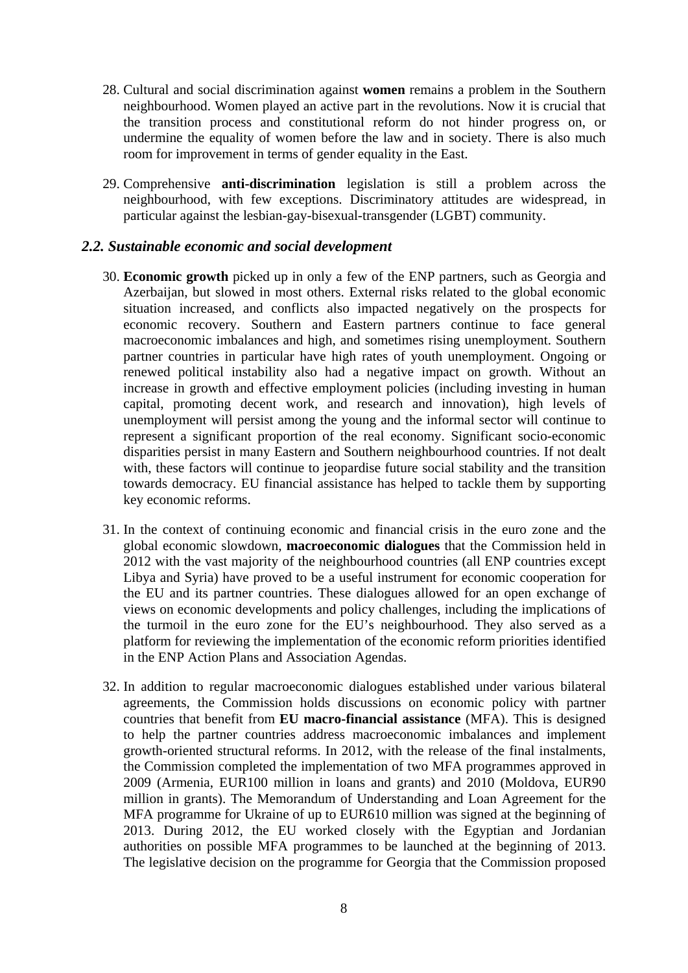- 28. Cultural and social discrimination against **women** remains a problem in the Southern neighbourhood. Women played an active part in the revolutions. Now it is crucial that the transition process and constitutional reform do not hinder progress on, or undermine the equality of women before the law and in society. There is also much room for improvement in terms of gender equality in the East.
- 29. Comprehensive **anti-discrimination** legislation is still a problem across the neighbourhood, with few exceptions. Discriminatory attitudes are widespread, in particular against the lesbian-gay-bisexual-transgender (LGBT) community.

#### *2.2. Sustainable economic and social development*

- 30. **Economic growth** picked up in only a few of the ENP partners, such as Georgia and Azerbaijan, but slowed in most others. External risks related to the global economic situation increased, and conflicts also impacted negatively on the prospects for economic recovery. Southern and Eastern partners continue to face general macroeconomic imbalances and high, and sometimes rising unemployment. Southern partner countries in particular have high rates of youth unemployment. Ongoing or renewed political instability also had a negative impact on growth. Without an increase in growth and effective employment policies (including investing in human capital, promoting decent work, and research and innovation), high levels of unemployment will persist among the young and the informal sector will continue to represent a significant proportion of the real economy. Significant socio-economic disparities persist in many Eastern and Southern neighbourhood countries. If not dealt with, these factors will continue to jeopardise future social stability and the transition towards democracy. EU financial assistance has helped to tackle them by supporting key economic reforms.
- 31. In the context of continuing economic and financial crisis in the euro zone and the global economic slowdown, **macroeconomic dialogues** that the Commission held in 2012 with the vast majority of the neighbourhood countries (all ENP countries except Libya and Syria) have proved to be a useful instrument for economic cooperation for the EU and its partner countries. These dialogues allowed for an open exchange of views on economic developments and policy challenges, including the implications of the turmoil in the euro zone for the EU's neighbourhood. They also served as a platform for reviewing the implementation of the economic reform priorities identified in the ENP Action Plans and Association Agendas.
- 32. In addition to regular macroeconomic dialogues established under various bilateral agreements, the Commission holds discussions on economic policy with partner countries that benefit from **EU macro-financial assistance** (MFA). This is designed to help the partner countries address macroeconomic imbalances and implement growth-oriented structural reforms. In 2012, with the release of the final instalments, the Commission completed the implementation of two MFA programmes approved in 2009 (Armenia, EUR100 million in loans and grants) and 2010 (Moldova, EUR90 million in grants). The Memorandum of Understanding and Loan Agreement for the MFA programme for Ukraine of up to EUR610 million was signed at the beginning of 2013. During 2012, the EU worked closely with the Egyptian and Jordanian authorities on possible MFA programmes to be launched at the beginning of 2013. The legislative decision on the programme for Georgia that the Commission proposed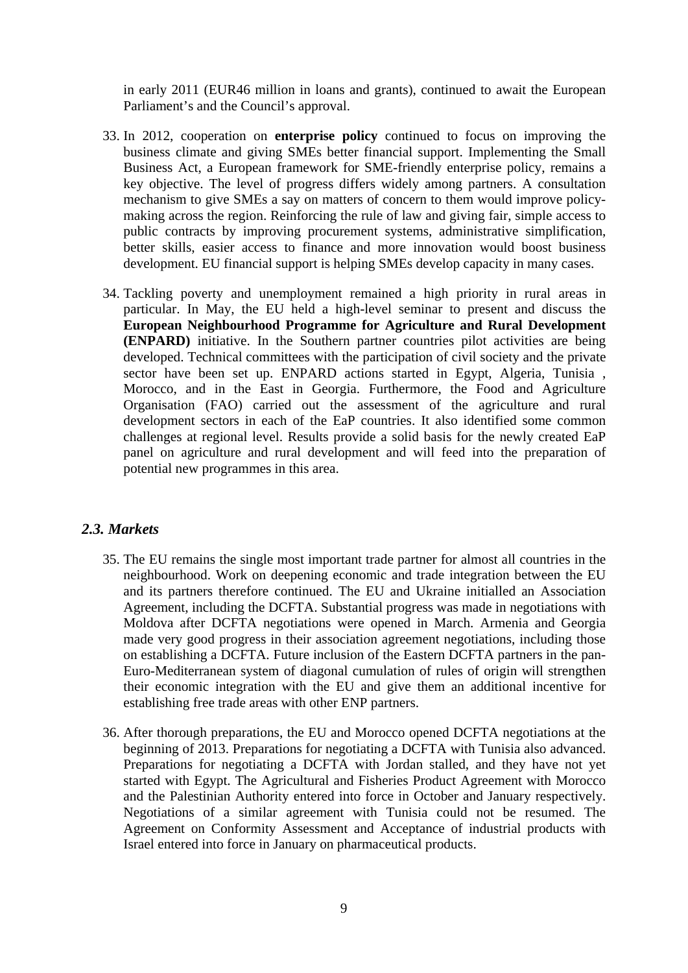in early 2011 (EUR46 million in loans and grants), continued to await the European Parliament's and the Council's approval.

- 33. In 2012, cooperation on **enterprise policy** continued to focus on improving the business climate and giving SMEs better financial support. Implementing the Small Business Act, a European framework for SME-friendly enterprise policy, remains a key objective. The level of progress differs widely among partners. A consultation mechanism to give SMEs a say on matters of concern to them would improve policymaking across the region. Reinforcing the rule of law and giving fair, simple access to public contracts by improving procurement systems, administrative simplification, better skills, easier access to finance and more innovation would boost business development. EU financial support is helping SMEs develop capacity in many cases.
- 34. Tackling poverty and unemployment remained a high priority in rural areas in particular. In May, the EU held a high-level seminar to present and discuss the **European Neighbourhood Programme for Agriculture and Rural Development (ENPARD)** initiative. In the Southern partner countries pilot activities are being developed. Technical committees with the participation of civil society and the private sector have been set up. ENPARD actions started in Egypt, Algeria, Tunisia , Morocco, and in the East in Georgia. Furthermore, the Food and Agriculture Organisation (FAO) carried out the assessment of the agriculture and rural development sectors in each of the EaP countries. It also identified some common challenges at regional level. Results provide a solid basis for the newly created EaP panel on agriculture and rural development and will feed into the preparation of potential new programmes in this area.

#### *2.3. Markets*

- 35. The EU remains the single most important trade partner for almost all countries in the neighbourhood. Work on deepening economic and trade integration between the EU and its partners therefore continued. The EU and Ukraine initialled an Association Agreement, including the DCFTA. Substantial progress was made in negotiations with Moldova after DCFTA negotiations were opened in March. Armenia and Georgia made very good progress in their association agreement negotiations, including those on establishing a DCFTA. Future inclusion of the Eastern DCFTA partners in the pan-Euro-Mediterranean system of diagonal cumulation of rules of origin will strengthen their economic integration with the EU and give them an additional incentive for establishing free trade areas with other ENP partners.
- 36. After thorough preparations, the EU and Morocco opened DCFTA negotiations at the beginning of 2013. Preparations for negotiating a DCFTA with Tunisia also advanced. Preparations for negotiating a DCFTA with Jordan stalled, and they have not yet started with Egypt. The Agricultural and Fisheries Product Agreement with Morocco and the Palestinian Authority entered into force in October and January respectively. Negotiations of a similar agreement with Tunisia could not be resumed. The Agreement on Conformity Assessment and Acceptance of industrial products with Israel entered into force in January on pharmaceutical products.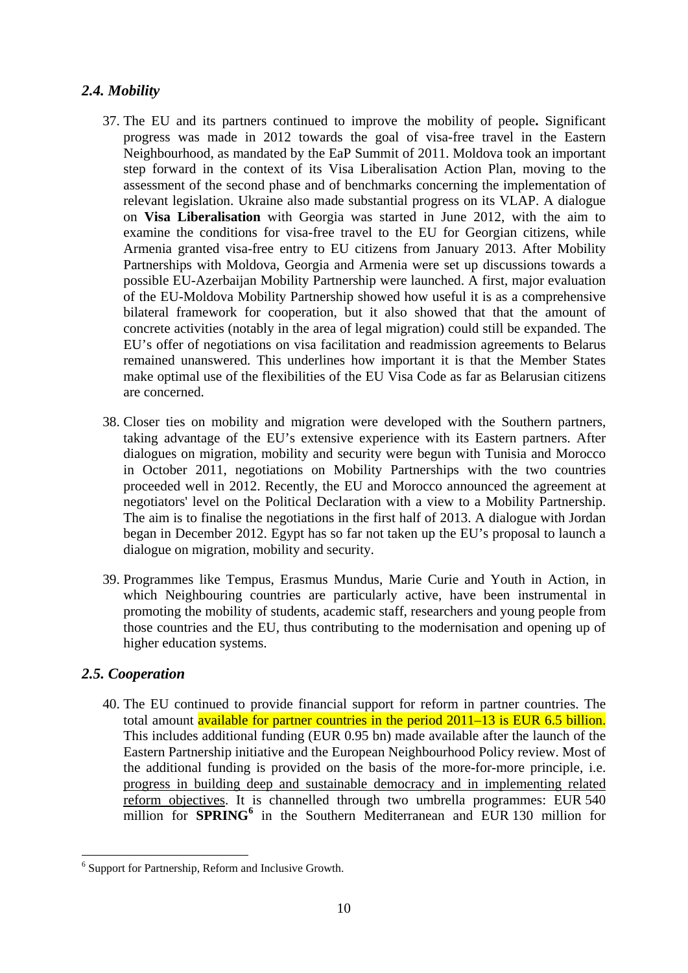# *2.4. Mobility*

- 37. The EU and its partners continued to improve the mobility of people**.** Significant progress was made in 2012 towards the goal of visa-free travel in the Eastern Neighbourhood, as mandated by the EaP Summit of 2011. Moldova took an important step forward in the context of its Visa Liberalisation Action Plan, moving to the assessment of the second phase and of benchmarks concerning the implementation of relevant legislation. Ukraine also made substantial progress on its VLAP. A dialogue on **Visa Liberalisation** with Georgia was started in June 2012, with the aim to examine the conditions for visa-free travel to the EU for Georgian citizens, while Armenia granted visa-free entry to EU citizens from January 2013. After Mobility Partnerships with Moldova, Georgia and Armenia were set up discussions towards a possible EU-Azerbaijan Mobility Partnership were launched. A first, major evaluation of the EU-Moldova Mobility Partnership showed how useful it is as a comprehensive bilateral framework for cooperation, but it also showed that that the amount of concrete activities (notably in the area of legal migration) could still be expanded. The EU's offer of negotiations on visa facilitation and readmission agreements to Belarus remained unanswered. This underlines how important it is that the Member States make optimal use of the flexibilities of the EU Visa Code as far as Belarusian citizens are concerned.
- 38. Closer ties on mobility and migration were developed with the Southern partners, taking advantage of the EU's extensive experience with its Eastern partners. After dialogues on migration, mobility and security were begun with Tunisia and Morocco in October 2011, negotiations on Mobility Partnerships with the two countries proceeded well in 2012. Recently, the EU and Morocco announced the agreement at negotiators' level on the Political Declaration with a view to a Mobility Partnership. The aim is to finalise the negotiations in the first half of 2013. A dialogue with Jordan began in December 2012. Egypt has so far not taken up the EU's proposal to launch a dialogue on migration, mobility and security.
- 39. Programmes like Tempus, Erasmus Mundus, Marie Curie and Youth in Action, in which Neighbouring countries are particularly active, have been instrumental in promoting the mobility of students, academic staff, researchers and young people from those countries and the EU, thus contributing to the modernisation and opening up of higher education systems.

# *2.5. Cooperation*

<u>.</u>

40. The EU continued to provide financial support for reform in partner countries. The total amount **available for partner countries in the period 2011–13 is EUR 6.5 billion.** This includes additional funding (EUR 0.95 bn) made available after the launch of the Eastern Partnership initiative and the European Neighbourhood Policy review. Most of the additional funding is provided on the basis of the more-for-more principle, i.e. progress in building deep and sustainable democracy and in implementing related reform objectives. It is channelled through two umbrella programmes: EUR 540 million for **SPRING<sup>6</sup>** in the Southern Mediterranean and EUR 130 million for

<sup>&</sup>lt;sup>6</sup> Support for Partnership, Reform and Inclusive Growth.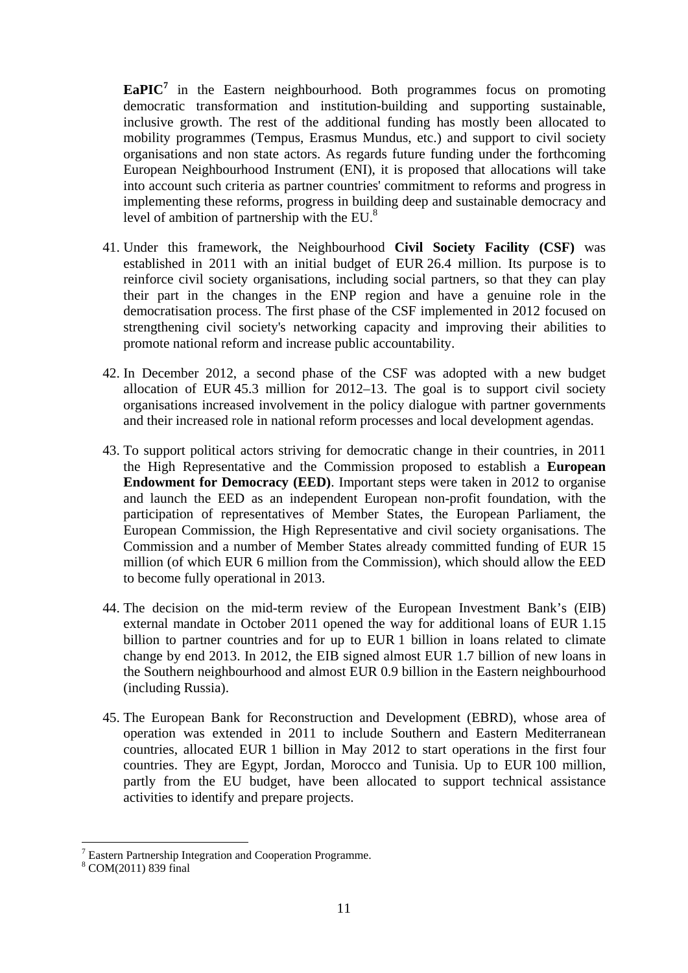**EaPIC<sup>7</sup>** in the Eastern neighbourhood. Both programmes focus on promoting democratic transformation and institution-building and supporting sustainable, inclusive growth. The rest of the additional funding has mostly been allocated to mobility programmes (Tempus, Erasmus Mundus, etc.) and support to civil society organisations and non state actors. As regards future funding under the forthcoming European Neighbourhood Instrument (ENI), it is proposed that allocations will take into account such criteria as partner countries' commitment to reforms and progress in implementing these reforms, progress in building deep and sustainable democracy and level of ambition of partnership with the EU. $8$ 

- 41. Under this framework, the Neighbourhood **Civil Society Facility (CSF)** was established in 2011 with an initial budget of EUR 26.4 million. Its purpose is to reinforce civil society organisations, including social partners, so that they can play their part in the changes in the ENP region and have a genuine role in the democratisation process. The first phase of the CSF implemented in 2012 focused on strengthening civil society's networking capacity and improving their abilities to promote national reform and increase public accountability.
- 42. In December 2012, a second phase of the CSF was adopted with a new budget allocation of EUR 45.3 million for 2012–13. The goal is to support civil society organisations increased involvement in the policy dialogue with partner governments and their increased role in national reform processes and local development agendas.
- 43. To support political actors striving for democratic change in their countries, in 2011 the High Representative and the Commission proposed to establish a **European Endowment for Democracy (EED)**. Important steps were taken in 2012 to organise and launch the EED as an independent European non-profit foundation, with the participation of representatives of Member States, the European Parliament, the European Commission, the High Representative and civil society organisations. The Commission and a number of Member States already committed funding of EUR 15 million (of which EUR 6 million from the Commission), which should allow the EED to become fully operational in 2013.
- 44. The decision on the mid-term review of the European Investment Bank's (EIB) external mandate in October 2011 opened the way for additional loans of EUR 1.15 billion to partner countries and for up to EUR 1 billion in loans related to climate change by end 2013. In 2012, the EIB signed almost EUR 1.7 billion of new loans in the Southern neighbourhood and almost EUR 0.9 billion in the Eastern neighbourhood (including Russia).
- 45. The European Bank for Reconstruction and Development (EBRD), whose area of operation was extended in 2011 to include Southern and Eastern Mediterranean countries, allocated EUR 1 billion in May 2012 to start operations in the first four countries. They are Egypt, Jordan, Morocco and Tunisia. Up to EUR 100 million, partly from the EU budget, have been allocated to support technical assistance activities to identify and prepare projects.

<sup>&</sup>lt;sup>7</sup> Eastern Partnership Integration and Cooperation Programme.

<sup>8</sup> COM(2011) 839 final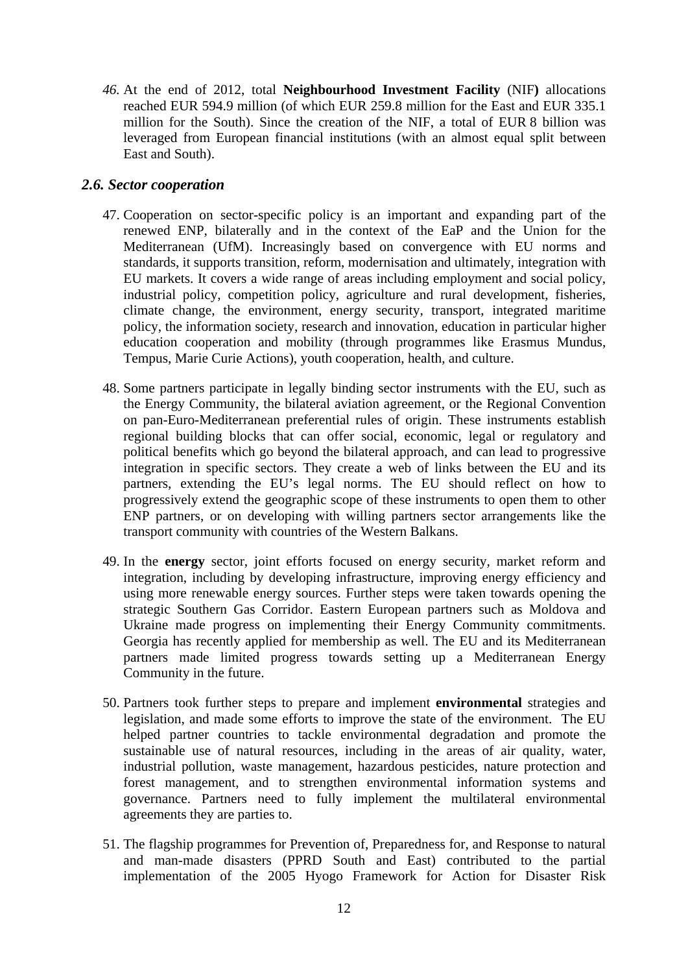*46.* At the end of 2012, total **Neighbourhood Investment Facility** (NIF**)** allocations reached EUR 594.9 million (of which EUR 259.8 million for the East and EUR 335.1 million for the South). Since the creation of the NIF, a total of EUR 8 billion was leveraged from European financial institutions (with an almost equal split between East and South).

#### *2.6. Sector cooperation*

- 47. Cooperation on sector-specific policy is an important and expanding part of the renewed ENP, bilaterally and in the context of the EaP and the Union for the Mediterranean (UfM). Increasingly based on convergence with EU norms and standards, it supports transition, reform, modernisation and ultimately, integration with EU markets. It covers a wide range of areas including employment and social policy, industrial policy, competition policy, agriculture and rural development, fisheries, climate change, the environment, energy security, transport, integrated maritime policy, the information society, research and innovation, education in particular higher education cooperation and mobility (through programmes like Erasmus Mundus, Tempus, Marie Curie Actions), youth cooperation, health, and culture.
- 48. Some partners participate in legally binding sector instruments with the EU, such as the Energy Community, the bilateral aviation agreement, or the Regional Convention on pan-Euro-Mediterranean preferential rules of origin. These instruments establish regional building blocks that can offer social, economic, legal or regulatory and political benefits which go beyond the bilateral approach, and can lead to progressive integration in specific sectors. They create a web of links between the EU and its partners, extending the EU's legal norms. The EU should reflect on how to progressively extend the geographic scope of these instruments to open them to other ENP partners, or on developing with willing partners sector arrangements like the transport community with countries of the Western Balkans.
- 49. In the **energy** sector, joint efforts focused on energy security, market reform and integration, including by developing infrastructure, improving energy efficiency and using more renewable energy sources. Further steps were taken towards opening the strategic Southern Gas Corridor. Eastern European partners such as Moldova and Ukraine made progress on implementing their Energy Community commitments. Georgia has recently applied for membership as well. The EU and its Mediterranean partners made limited progress towards setting up a Mediterranean Energy Community in the future.
- 50. Partners took further steps to prepare and implement **environmental** strategies and legislation, and made some efforts to improve the state of the environment. The EU helped partner countries to tackle environmental degradation and promote the sustainable use of natural resources, including in the areas of air quality, water, industrial pollution, waste management, hazardous pesticides, nature protection and forest management, and to strengthen environmental information systems and governance. Partners need to fully implement the multilateral environmental agreements they are parties to.
- 51. The flagship programmes for Prevention of, Preparedness for, and Response to natural and man-made disasters (PPRD South and East) contributed to the partial implementation of the 2005 Hyogo Framework for Action for Disaster Risk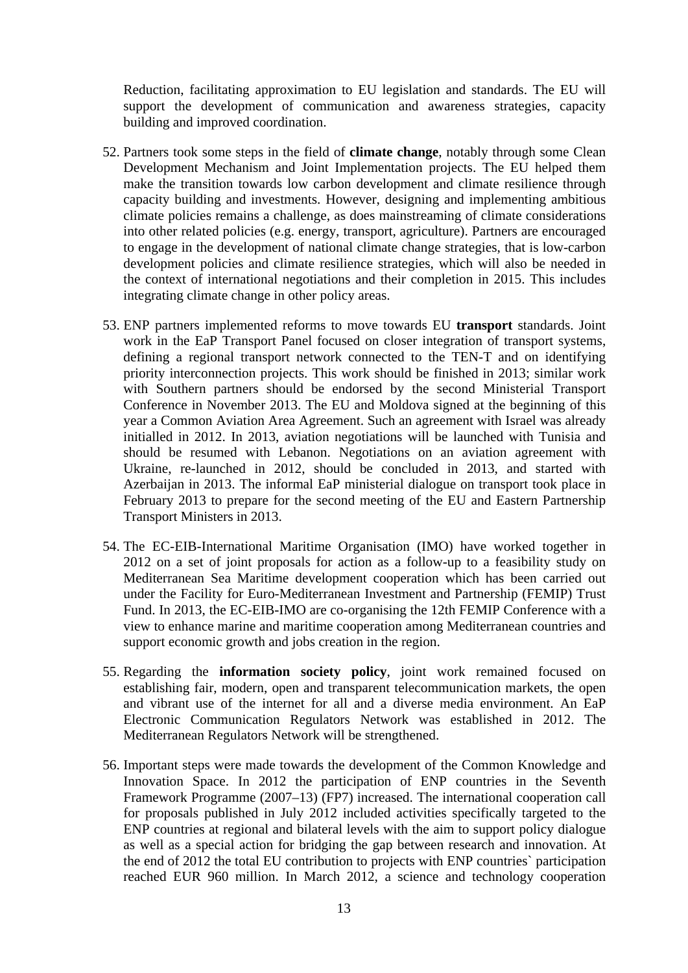Reduction, facilitating approximation to EU legislation and standards. The EU will support the development of communication and awareness strategies, capacity building and improved coordination.

- 52. Partners took some steps in the field of **climate change**, notably through some Clean Development Mechanism and Joint Implementation projects. The EU helped them make the transition towards low carbon development and climate resilience through capacity building and investments. However, designing and implementing ambitious climate policies remains a challenge, as does mainstreaming of climate considerations into other related policies (e.g. energy, transport, agriculture). Partners are encouraged to engage in the development of national climate change strategies, that is low-carbon development policies and climate resilience strategies, which will also be needed in the context of international negotiations and their completion in 2015. This includes integrating climate change in other policy areas.
- 53. ENP partners implemented reforms to move towards EU **transport** standards. Joint work in the EaP Transport Panel focused on closer integration of transport systems, defining a regional transport network connected to the TEN-T and on identifying priority interconnection projects. This work should be finished in 2013; similar work with Southern partners should be endorsed by the second Ministerial Transport Conference in November 2013. The EU and Moldova signed at the beginning of this year a Common Aviation Area Agreement. Such an agreement with Israel was already initialled in 2012. In 2013, aviation negotiations will be launched with Tunisia and should be resumed with Lebanon. Negotiations on an aviation agreement with Ukraine, re-launched in 2012, should be concluded in 2013, and started with Azerbaijan in 2013. The informal EaP ministerial dialogue on transport took place in February 2013 to prepare for the second meeting of the EU and Eastern Partnership Transport Ministers in 2013.
- 54. The EC-EIB-International Maritime Organisation (IMO) have worked together in 2012 on a set of joint proposals for action as a follow-up to a feasibility study on Mediterranean Sea Maritime development cooperation which has been carried out under the Facility for Euro-Mediterranean Investment and Partnership (FEMIP) Trust Fund. In 2013, the EC-EIB-IMO are co-organising the 12th FEMIP Conference with a view to enhance marine and maritime cooperation among Mediterranean countries and support economic growth and jobs creation in the region.
- 55. Regarding the **information society policy**, joint work remained focused on establishing fair, modern, open and transparent telecommunication markets, the open and vibrant use of the internet for all and a diverse media environment. An EaP Electronic Communication Regulators Network was established in 2012. The Mediterranean Regulators Network will be strengthened.
- 56. Important steps were made towards the development of the Common Knowledge and Innovation Space. In 2012 the participation of ENP countries in the Seventh Framework Programme (2007–13) (FP7) increased. The international cooperation call for proposals published in July 2012 included activities specifically targeted to the ENP countries at regional and bilateral levels with the aim to support policy dialogue as well as a special action for bridging the gap between research and innovation. At the end of 2012 the total EU contribution to projects with ENP countries` participation reached EUR 960 million. In March 2012, a science and technology cooperation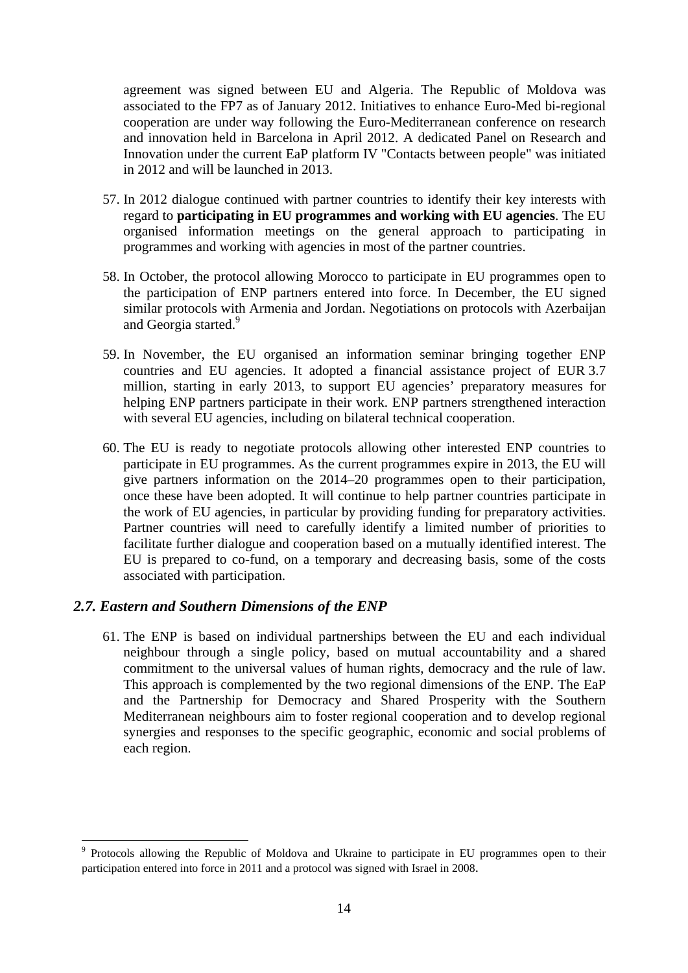agreement was signed between EU and Algeria. The Republic of Moldova was associated to the FP7 as of January 2012. Initiatives to enhance Euro-Med bi-regional cooperation are under way following the Euro-Mediterranean conference on research and innovation held in Barcelona in April 2012. A dedicated Panel on Research and Innovation under the current EaP platform IV "Contacts between people" was initiated in 2012 and will be launched in 2013.

- 57. In 2012 dialogue continued with partner countries to identify their key interests with regard to **participating in EU programmes and working with EU agencies**. The EU organised information meetings on the general approach to participating in programmes and working with agencies in most of the partner countries.
- 58. In October, the protocol allowing Morocco to participate in EU programmes open to the participation of ENP partners entered into force. In December, the EU signed similar protocols with Armenia and Jordan. Negotiations on protocols with Azerbaijan and Georgia started.<sup>9</sup>
- 59. In November, the EU organised an information seminar bringing together ENP countries and EU agencies. It adopted a financial assistance project of EUR 3.7 million, starting in early 2013, to support EU agencies' preparatory measures for helping ENP partners participate in their work. ENP partners strengthened interaction with several EU agencies, including on bilateral technical cooperation.
- 60. The EU is ready to negotiate protocols allowing other interested ENP countries to participate in EU programmes. As the current programmes expire in 2013, the EU will give partners information on the 2014–20 programmes open to their participation, once these have been adopted. It will continue to help partner countries participate in the work of EU agencies, in particular by providing funding for preparatory activities. Partner countries will need to carefully identify a limited number of priorities to facilitate further dialogue and cooperation based on a mutually identified interest. The EU is prepared to co-fund, on a temporary and decreasing basis, some of the costs associated with participation.

### *2.7. Eastern and Southern Dimensions of the ENP*

1

61. The ENP is based on individual partnerships between the EU and each individual neighbour through a single policy, based on mutual accountability and a shared commitment to the universal values of human rights, democracy and the rule of law. This approach is complemented by the two regional dimensions of the ENP. The EaP and the Partnership for Democracy and Shared Prosperity with the Southern Mediterranean neighbours aim to foster regional cooperation and to develop regional synergies and responses to the specific geographic, economic and social problems of each region.

<sup>&</sup>lt;sup>9</sup> Protocols allowing the Republic of Moldova and Ukraine to participate in EU programmes open to their participation entered into force in 2011 and a protocol was signed with Israel in 2008.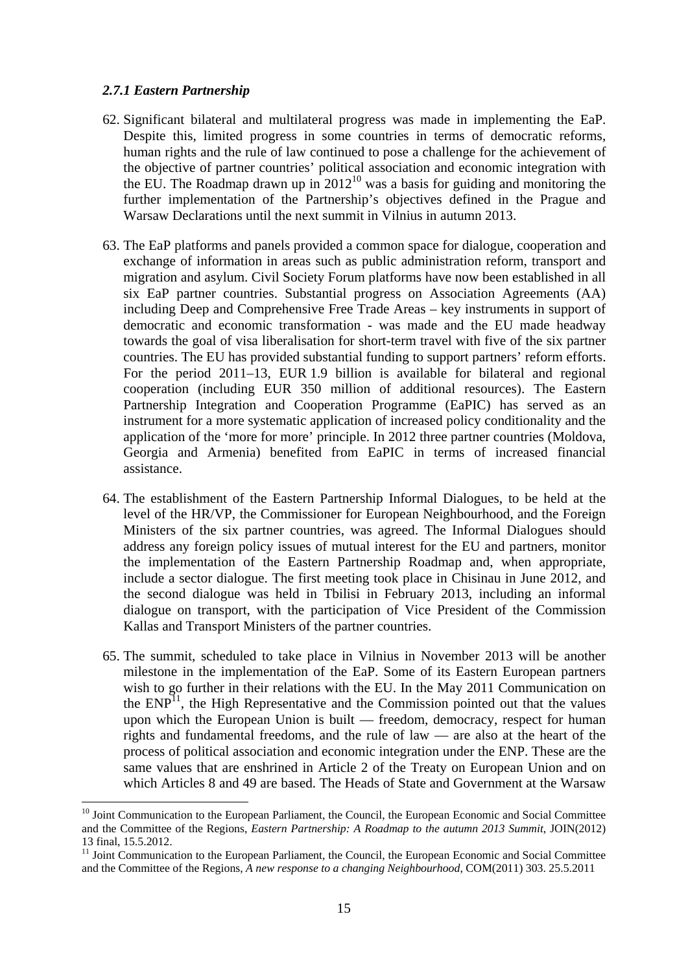#### *2.7.1 Eastern Partnership*

- 62. Significant bilateral and multilateral progress was made in implementing the EaP. Despite this, limited progress in some countries in terms of democratic reforms, human rights and the rule of law continued to pose a challenge for the achievement of the objective of partner countries' political association and economic integration with the EU. The Roadmap drawn up in  $2012^{10}$  was a basis for guiding and monitoring the further implementation of the Partnership's objectives defined in the Prague and Warsaw Declarations until the next summit in Vilnius in autumn 2013.
- 63. The EaP platforms and panels provided a common space for dialogue, cooperation and exchange of information in areas such as public administration reform, transport and migration and asylum. Civil Society Forum platforms have now been established in all six EaP partner countries. Substantial progress on Association Agreements (AA) including Deep and Comprehensive Free Trade Areas – key instruments in support of democratic and economic transformation - was made and the EU made headway towards the goal of visa liberalisation for short-term travel with five of the six partner countries. The EU has provided substantial funding to support partners' reform efforts. For the period 2011–13, EUR 1.9 billion is available for bilateral and regional cooperation (including EUR 350 million of additional resources). The Eastern Partnership Integration and Cooperation Programme (EaPIC) has served as an instrument for a more systematic application of increased policy conditionality and the application of the 'more for more' principle. In 2012 three partner countries (Moldova, Georgia and Armenia) benefited from EaPIC in terms of increased financial assistance.
- 64. The establishment of the Eastern Partnership Informal Dialogues, to be held at the level of the HR/VP, the Commissioner for European Neighbourhood, and the Foreign Ministers of the six partner countries, was agreed. The Informal Dialogues should address any foreign policy issues of mutual interest for the EU and partners, monitor the implementation of the Eastern Partnership Roadmap and, when appropriate, include a sector dialogue. The first meeting took place in Chisinau in June 2012, and the second dialogue was held in Tbilisi in February 2013, including an informal dialogue on transport, with the participation of Vice President of the Commission Kallas and Transport Ministers of the partner countries.
- 65. The summit, scheduled to take place in Vilnius in November 2013 will be another milestone in the implementation of the EaP. Some of its Eastern European partners wish to go further in their relations with the EU. In the May 2011 Communication on the  $END<sup>11</sup>$ , the High Representative and the Commission pointed out that the values upon which the European Union is built — freedom, democracy, respect for human rights and fundamental freedoms, and the rule of law — are also at the heart of the process of political association and economic integration under the ENP. These are the same values that are enshrined in Article 2 of the Treaty on European Union and on which Articles 8 and 49 are based. The Heads of State and Government at the Warsaw

<sup>&</sup>lt;sup>10</sup> Joint Communication to the European Parliament, the Council, the European Economic and Social Committee and the Committee of the Regions, *Eastern Partnership: A Roadmap to the autumn 2013 Summit*, JOIN(2012) 13 final, 15.5.2012.

<sup>&</sup>lt;sup>11</sup> Joint Communication to the European Parliament, the Council, the European Economic and Social Committee and the Committee of the Regions, *A new response to a changing Neighbourhood*, COM(2011) 303. 25.5.2011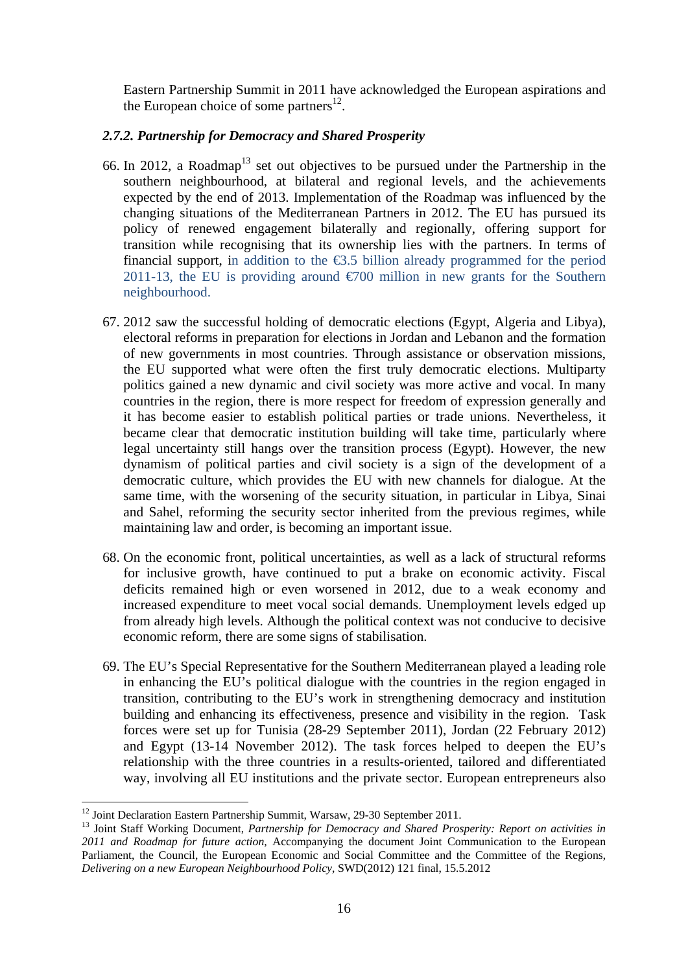Eastern Partnership Summit in 2011 have acknowledged the European aspirations and the European choice of some partners<sup>12</sup>.

### *2.7.2. Partnership for Democracy and Shared Prosperity*

- 66. In 2012, a Roadmap<sup>13</sup> set out objectives to be pursued under the Partnership in the southern neighbourhood, at bilateral and regional levels, and the achievements expected by the end of 2013. Implementation of the Roadmap was influenced by the changing situations of the Mediterranean Partners in 2012. The EU has pursued its policy of renewed engagement bilaterally and regionally, offering support for transition while recognising that its ownership lies with the partners. In terms of financial support, in addition to the  $\epsilon$ 3.5 billion already programmed for the period 2011-13, the EU is providing around  $\epsilon$  700 million in new grants for the Southern neighbourhood.
- 67. 2012 saw the successful holding of democratic elections (Egypt, Algeria and Libya), electoral reforms in preparation for elections in Jordan and Lebanon and the formation of new governments in most countries. Through assistance or observation missions, the EU supported what were often the first truly democratic elections. Multiparty politics gained a new dynamic and civil society was more active and vocal. In many countries in the region, there is more respect for freedom of expression generally and it has become easier to establish political parties or trade unions. Nevertheless, it became clear that democratic institution building will take time, particularly where legal uncertainty still hangs over the transition process (Egypt). However, the new dynamism of political parties and civil society is a sign of the development of a democratic culture, which provides the EU with new channels for dialogue. At the same time, with the worsening of the security situation, in particular in Libya, Sinai and Sahel, reforming the security sector inherited from the previous regimes, while maintaining law and order, is becoming an important issue.
- 68. On the economic front, political uncertainties, as well as a lack of structural reforms for inclusive growth, have continued to put a brake on economic activity. Fiscal deficits remained high or even worsened in 2012, due to a weak economy and increased expenditure to meet vocal social demands. Unemployment levels edged up from already high levels. Although the political context was not conducive to decisive economic reform, there are some signs of stabilisation.
- 69. The EU's Special Representative for the Southern Mediterranean played a leading role in enhancing the EU's political dialogue with the countries in the region engaged in transition, contributing to the EU's work in strengthening democracy and institution building and enhancing its effectiveness, presence and visibility in the region. Task forces were set up for Tunisia (28-29 September 2011), Jordan (22 February 2012) and Egypt (13-14 November 2012). The task forces helped to deepen the EU's relationship with the three countries in a results-oriented, tailored and differentiated way, involving all EU institutions and the private sector. European entrepreneurs also

<sup>&</sup>lt;sup>12</sup> Joint Declaration Eastern Partnership Summit, Warsaw, 29-30 September 2011.

<sup>&</sup>lt;sup>13</sup> Joint Staff Working Document, Partnership for Democracy and Shared Prosperity: Report on activities in *2011 and Roadmap for future action,* Accompanying the document Joint Communication to the European Parliament, the Council, the European Economic and Social Committee and the Committee of the Regions, *Delivering on a new European Neighbourhood Policy*, SWD(2012) 121 final, 15.5.2012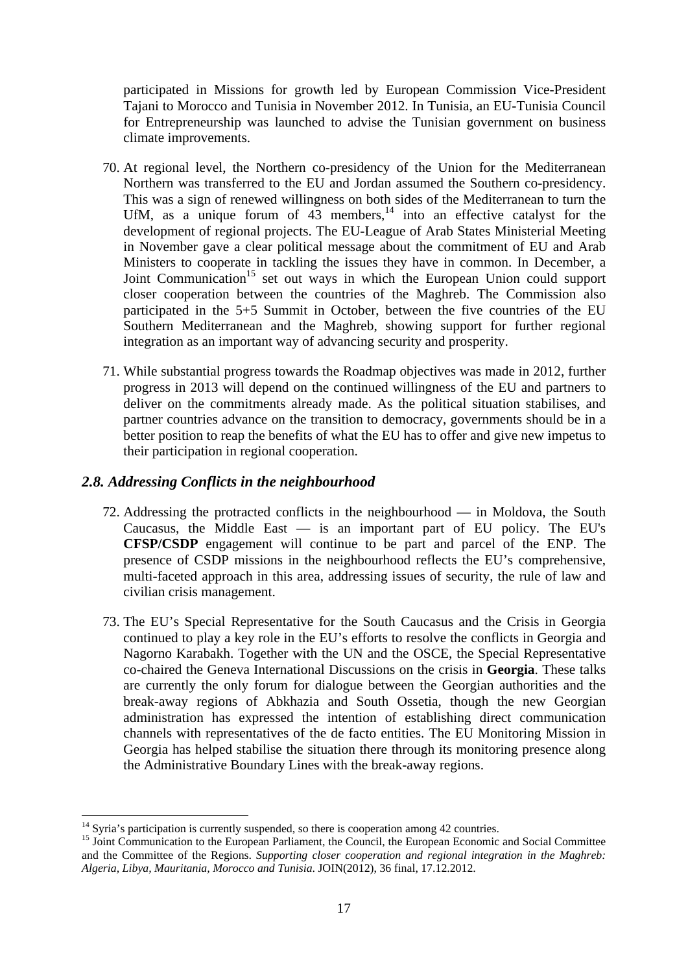participated in Missions for growth led by European Commission Vice-President Tajani to Morocco and Tunisia in November 2012. In Tunisia, an EU-Tunisia Council for Entrepreneurship was launched to advise the Tunisian government on business climate improvements.

- 70. At regional level, the Northern co-presidency of the Union for the Mediterranean Northern was transferred to the EU and Jordan assumed the Southern co-presidency. This was a sign of renewed willingness on both sides of the Mediterranean to turn the UfM, as a unique forum of  $43$  members, $14$  into an effective catalyst for the development of regional projects. The EU-League of Arab States Ministerial Meeting in November gave a clear political message about the commitment of EU and Arab Ministers to cooperate in tackling the issues they have in common. In December, a Joint Communication<sup>15</sup> set out ways in which the European Union could support closer cooperation between the countries of the Maghreb. The Commission also participated in the 5+5 Summit in October, between the five countries of the EU Southern Mediterranean and the Maghreb, showing support for further regional integration as an important way of advancing security and prosperity.
- 71. While substantial progress towards the Roadmap objectives was made in 2012, further progress in 2013 will depend on the continued willingness of the EU and partners to deliver on the commitments already made. As the political situation stabilises, and partner countries advance on the transition to democracy, governments should be in a better position to reap the benefits of what the EU has to offer and give new impetus to their participation in regional cooperation.

### *2.8. Addressing Conflicts in the neighbourhood*

- 72. Addressing the protracted conflicts in the neighbourhood in Moldova, the South Caucasus, the Middle East — is an important part of EU policy. The EU's **CFSP/CSDP** engagement will continue to be part and parcel of the ENP. The presence of CSDP missions in the neighbourhood reflects the EU's comprehensive, multi-faceted approach in this area, addressing issues of security, the rule of law and civilian crisis management.
- 73. The EU's Special Representative for the South Caucasus and the Crisis in Georgia continued to play a key role in the EU's efforts to resolve the conflicts in Georgia and Nagorno Karabakh. Together with the UN and the OSCE, the Special Representative co-chaired the Geneva International Discussions on the crisis in **Georgia**. These talks are currently the only forum for dialogue between the Georgian authorities and the break-away regions of Abkhazia and South Ossetia, though the new Georgian administration has expressed the intention of establishing direct communication channels with representatives of the de facto entities. The EU Monitoring Mission in Georgia has helped stabilise the situation there through its monitoring presence along the Administrative Boundary Lines with the break-away regions.

 $14$  Syria's participation is currently suspended, so there is cooperation among 42 countries.

<sup>&</sup>lt;sup>15</sup> Joint Communication to the European Parliament, the Council, the European Economic and Social Committee and the Committee of the Regions. *Supporting closer cooperation and regional integration in the Maghreb: Algeria, Libya, Mauritania, Morocco and Tunisia*. JOIN(2012), 36 final, 17.12.2012.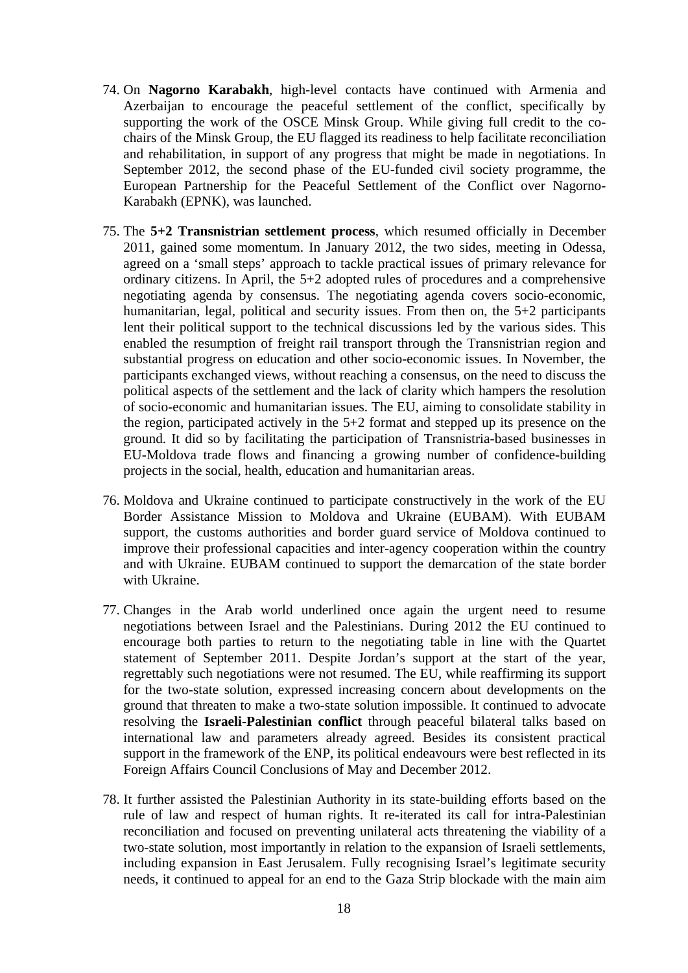- 74. On **Nagorno Karabakh**, high-level contacts have continued with Armenia and Azerbaijan to encourage the peaceful settlement of the conflict, specifically by supporting the work of the OSCE Minsk Group. While giving full credit to the cochairs of the Minsk Group, the EU flagged its readiness to help facilitate reconciliation and rehabilitation, in support of any progress that might be made in negotiations. In September 2012, the second phase of the EU-funded civil society programme, the European Partnership for the Peaceful Settlement of the Conflict over Nagorno-Karabakh (EPNK), was launched.
- 75. The **5+2 Transnistrian settlement process**, which resumed officially in December 2011, gained some momentum. In January 2012, the two sides, meeting in Odessa, agreed on a 'small steps' approach to tackle practical issues of primary relevance for ordinary citizens. In April, the 5+2 adopted rules of procedures and a comprehensive negotiating agenda by consensus. The negotiating agenda covers socio-economic, humanitarian, legal, political and security issues. From then on, the 5+2 participants lent their political support to the technical discussions led by the various sides. This enabled the resumption of freight rail transport through the Transnistrian region and substantial progress on education and other socio-economic issues. In November, the participants exchanged views, without reaching a consensus, on the need to discuss the political aspects of the settlement and the lack of clarity which hampers the resolution of socio-economic and humanitarian issues. The EU, aiming to consolidate stability in the region, participated actively in the 5+2 format and stepped up its presence on the ground. It did so by facilitating the participation of Transnistria-based businesses in EU-Moldova trade flows and financing a growing number of confidence-building projects in the social, health, education and humanitarian areas.
- 76. Moldova and Ukraine continued to participate constructively in the work of the EU Border Assistance Mission to Moldova and Ukraine (EUBAM). With EUBAM support, the customs authorities and border guard service of Moldova continued to improve their professional capacities and inter-agency cooperation within the country and with Ukraine. EUBAM continued to support the demarcation of the state border with Ukraine.
- 77. Changes in the Arab world underlined once again the urgent need to resume negotiations between Israel and the Palestinians. During 2012 the EU continued to encourage both parties to return to the negotiating table in line with the Quartet statement of September 2011. Despite Jordan's support at the start of the year, regrettably such negotiations were not resumed. The EU, while reaffirming its support for the two-state solution, expressed increasing concern about developments on the ground that threaten to make a two-state solution impossible. It continued to advocate resolving the **Israeli-Palestinian conflict** through peaceful bilateral talks based on international law and parameters already agreed. Besides its consistent practical support in the framework of the ENP, its political endeavours were best reflected in its Foreign Affairs Council Conclusions of May and December 2012.
- 78. It further assisted the Palestinian Authority in its state-building efforts based on the rule of law and respect of human rights. It re-iterated its call for intra-Palestinian reconciliation and focused on preventing unilateral acts threatening the viability of a two-state solution, most importantly in relation to the expansion of Israeli settlements, including expansion in East Jerusalem. Fully recognising Israel's legitimate security needs, it continued to appeal for an end to the Gaza Strip blockade with the main aim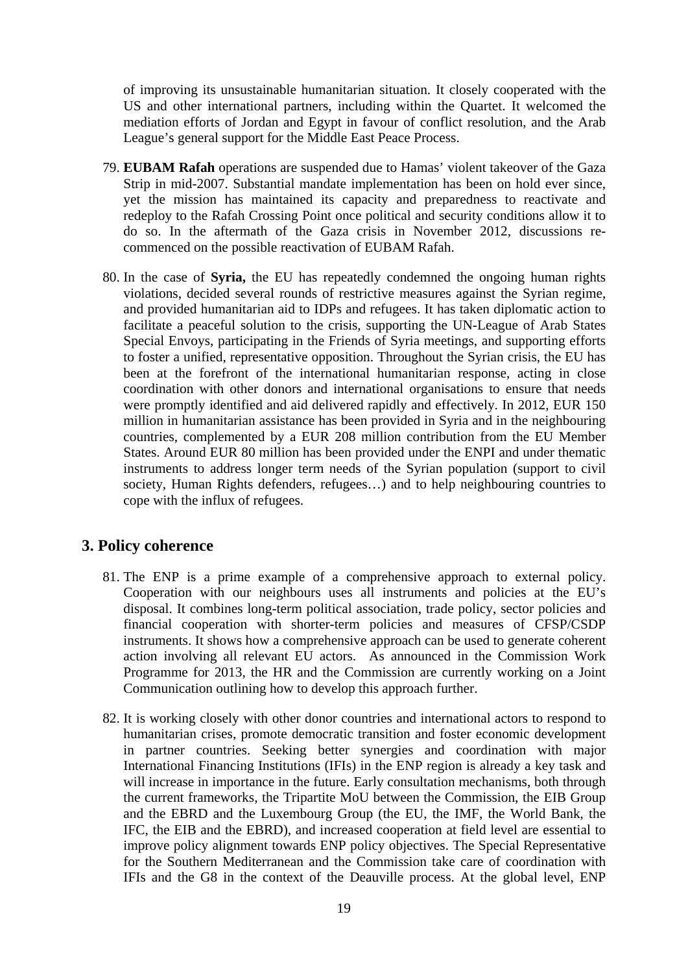of improving its unsustainable humanitarian situation. It closely cooperated with the US and other international partners, including within the Quartet. It welcomed the mediation efforts of Jordan and Egypt in favour of conflict resolution, and the Arab League's general support for the Middle East Peace Process.

- 79. **EUBAM Rafah** operations are suspended due to Hamas' violent takeover of the Gaza Strip in mid-2007. Substantial mandate implementation has been on hold ever since, yet the mission has maintained its capacity and preparedness to reactivate and redeploy to the Rafah Crossing Point once political and security conditions allow it to do so. In the aftermath of the Gaza crisis in November 2012, discussions recommenced on the possible reactivation of EUBAM Rafah.
- 80. In the case of **Syria,** the EU has repeatedly condemned the ongoing human rights violations, decided several rounds of restrictive measures against the Syrian regime, and provided humanitarian aid to IDPs and refugees. It has taken diplomatic action to facilitate a peaceful solution to the crisis, supporting the UN-League of Arab States Special Envoys, participating in the Friends of Syria meetings, and supporting efforts to foster a unified, representative opposition. Throughout the Syrian crisis, the EU has been at the forefront of the international humanitarian response, acting in close coordination with other donors and international organisations to ensure that needs were promptly identified and aid delivered rapidly and effectively. In 2012, EUR 150 million in humanitarian assistance has been provided in Syria and in the neighbouring countries, complemented by a EUR 208 million contribution from the EU Member States. Around EUR 80 million has been provided under the ENPI and under thematic instruments to address longer term needs of the Syrian population (support to civil society, Human Rights defenders, refugees…) and to help neighbouring countries to cope with the influx of refugees.

# **3. Policy coherence**

- 81. The ENP is a prime example of a comprehensive approach to external policy. Cooperation with our neighbours uses all instruments and policies at the EU's disposal. It combines long-term political association, trade policy, sector policies and financial cooperation with shorter-term policies and measures of CFSP/CSDP instruments. It shows how a comprehensive approach can be used to generate coherent action involving all relevant EU actors. As announced in the Commission Work Programme for 2013, the HR and the Commission are currently working on a Joint Communication outlining how to develop this approach further.
- 82. It is working closely with other donor countries and international actors to respond to humanitarian crises, promote democratic transition and foster economic development in partner countries. Seeking better synergies and coordination with major International Financing Institutions (IFIs) in the ENP region is already a key task and will increase in importance in the future. Early consultation mechanisms, both through the current frameworks, the Tripartite MoU between the Commission, the EIB Group and the EBRD and the Luxembourg Group (the EU, the IMF, the World Bank, the IFC, the EIB and the EBRD), and increased cooperation at field level are essential to improve policy alignment towards ENP policy objectives. The Special Representative for the Southern Mediterranean and the Commission take care of coordination with IFIs and the G8 in the context of the Deauville process. At the global level, ENP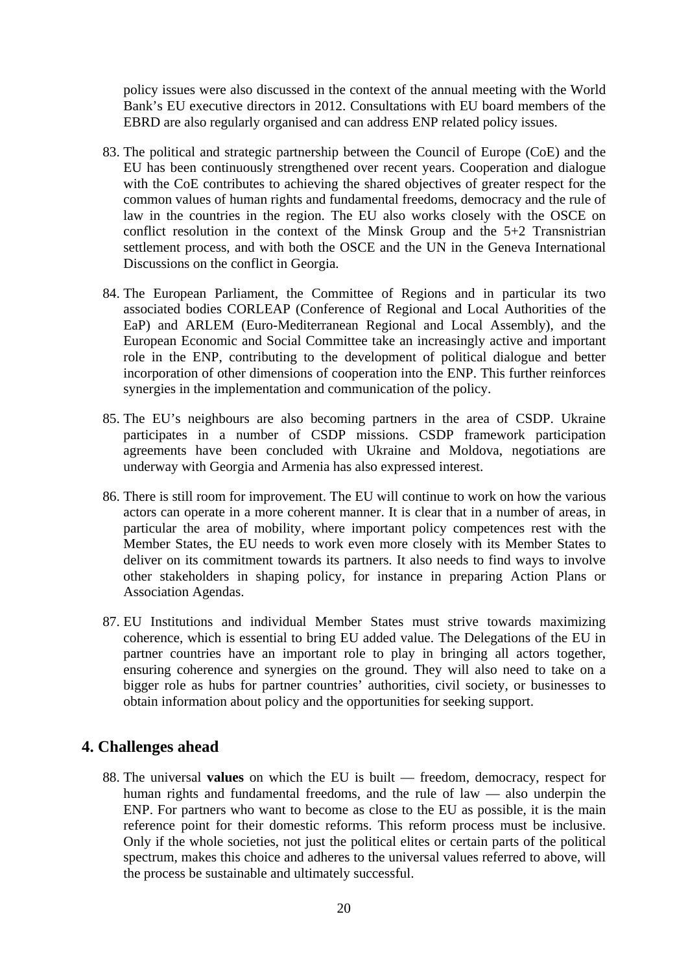policy issues were also discussed in the context of the annual meeting with the World Bank's EU executive directors in 2012. Consultations with EU board members of the EBRD are also regularly organised and can address ENP related policy issues.

- 83. The political and strategic partnership between the Council of Europe (CoE) and the EU has been continuously strengthened over recent years. Cooperation and dialogue with the CoE contributes to achieving the shared objectives of greater respect for the common values of human rights and fundamental freedoms, democracy and the rule of law in the countries in the region. The EU also works closely with the OSCE on conflict resolution in the context of the Minsk Group and the 5+2 Transnistrian settlement process, and with both the OSCE and the UN in the Geneva International Discussions on the conflict in Georgia.
- 84. The European Parliament, the Committee of Regions and in particular its two associated bodies CORLEAP (Conference of Regional and Local Authorities of the EaP) and ARLEM (Euro-Mediterranean Regional and Local Assembly), and the European Economic and Social Committee take an increasingly active and important role in the ENP, contributing to the development of political dialogue and better incorporation of other dimensions of cooperation into the ENP. This further reinforces synergies in the implementation and communication of the policy.
- 85. The EU's neighbours are also becoming partners in the area of CSDP. Ukraine participates in a number of CSDP missions. CSDP framework participation agreements have been concluded with Ukraine and Moldova, negotiations are underway with Georgia and Armenia has also expressed interest.
- 86. There is still room for improvement. The EU will continue to work on how the various actors can operate in a more coherent manner. It is clear that in a number of areas, in particular the area of mobility, where important policy competences rest with the Member States, the EU needs to work even more closely with its Member States to deliver on its commitment towards its partners. It also needs to find ways to involve other stakeholders in shaping policy, for instance in preparing Action Plans or Association Agendas.
- 87. EU Institutions and individual Member States must strive towards maximizing coherence, which is essential to bring EU added value. The Delegations of the EU in partner countries have an important role to play in bringing all actors together, ensuring coherence and synergies on the ground. They will also need to take on a bigger role as hubs for partner countries' authorities, civil society, or businesses to obtain information about policy and the opportunities for seeking support.

# **4. Challenges ahead**

88. The universal **values** on which the EU is built — freedom, democracy, respect for human rights and fundamental freedoms, and the rule of law — also underpin the ENP. For partners who want to become as close to the EU as possible, it is the main reference point for their domestic reforms. This reform process must be inclusive. Only if the whole societies, not just the political elites or certain parts of the political spectrum, makes this choice and adheres to the universal values referred to above, will the process be sustainable and ultimately successful.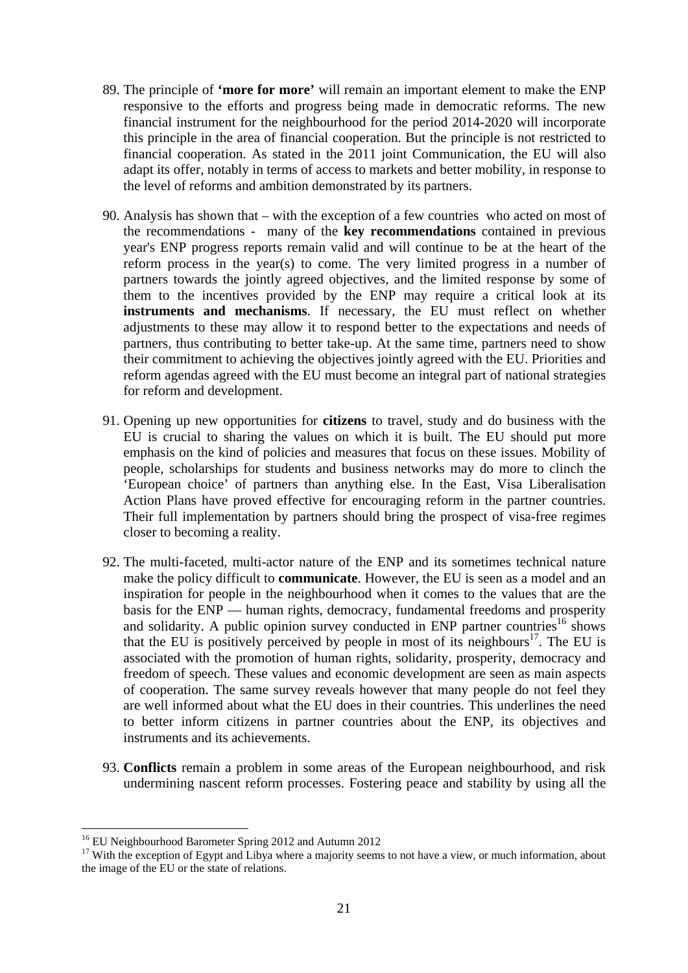- 89. The principle of **'more for more'** will remain an important element to make the ENP responsive to the efforts and progress being made in democratic reforms. The new financial instrument for the neighbourhood for the period 2014-2020 will incorporate this principle in the area of financial cooperation. But the principle is not restricted to financial cooperation. As stated in the 2011 joint Communication, the EU will also adapt its offer, notably in terms of access to markets and better mobility, in response to the level of reforms and ambition demonstrated by its partners.
- 90. Analysis has shown that with the exception of a few countries who acted on most of the recommendations - many of the **key recommendations** contained in previous year's ENP progress reports remain valid and will continue to be at the heart of the reform process in the year(s) to come. The very limited progress in a number of partners towards the jointly agreed objectives, and the limited response by some of them to the incentives provided by the ENP may require a critical look at its **instruments and mechanisms**. If necessary, the EU must reflect on whether adjustments to these may allow it to respond better to the expectations and needs of partners, thus contributing to better take-up. At the same time, partners need to show their commitment to achieving the objectives jointly agreed with the EU. Priorities and reform agendas agreed with the EU must become an integral part of national strategies for reform and development.
- 91. Opening up new opportunities for **citizens** to travel, study and do business with the EU is crucial to sharing the values on which it is built. The EU should put more emphasis on the kind of policies and measures that focus on these issues. Mobility of people, scholarships for students and business networks may do more to clinch the 'European choice' of partners than anything else. In the East, Visa Liberalisation Action Plans have proved effective for encouraging reform in the partner countries. Their full implementation by partners should bring the prospect of visa-free regimes closer to becoming a reality.
- 92. The multi-faceted, multi-actor nature of the ENP and its sometimes technical nature make the policy difficult to **communicate**. However, the EU is seen as a model and an inspiration for people in the neighbourhood when it comes to the values that are the basis for the ENP — human rights, democracy, fundamental freedoms and prosperity and solidarity. A public opinion survey conducted in ENP partner countries<sup>16</sup> shows that the EU is positively perceived by people in most of its neighbours<sup>17</sup>. The EU is associated with the promotion of human rights, solidarity, prosperity, democracy and freedom of speech. These values and economic development are seen as main aspects of cooperation. The same survey reveals however that many people do not feel they are well informed about what the EU does in their countries. This underlines the need to better inform citizens in partner countries about the ENP, its objectives and instruments and its achievements.
- 93. **Conflicts** remain a problem in some areas of the European neighbourhood, and risk undermining nascent reform processes. Fostering peace and stability by using all the

<sup>&</sup>lt;sup>16</sup> EU Neighbourhood Barometer Spring 2012 and Autumn 2012

<sup>&</sup>lt;sup>17</sup> With the exception of Egypt and Libya where a majority seems to not have a view, or much information, about the image of the EU or the state of relations.